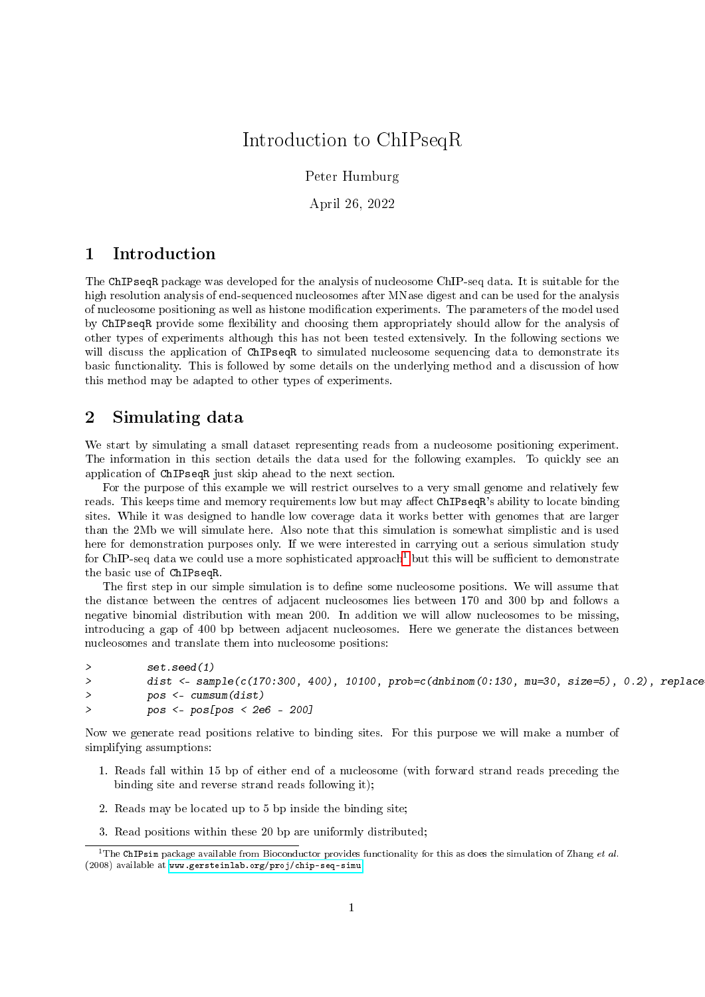# Introduction to ChIPseqR

Peter Humburg

April 26, 2022

# 1 Introduction

The ChIPseqR package was developed for the analysis of nucleosome ChIP-seq data. It is suitable for the high resolution analysis of end-sequenced nucleosomes after MNase digest and can be used for the analysis of nucleosome positioning as well as histone modification experiments. The parameters of the model used by ChIPseqR provide some flexibility and choosing them appropriately should allow for the analysis of other types of experiments although this has not been tested extensively. In the following sections we will discuss the application of ChIPseqR to simulated nucleosome sequencing data to demonstrate its basic functionality. This is followed by some details on the underlying method and a discussion of how this method may be adapted to other types of experiments.

# 2 Simulating data

We start by simulating a small dataset representing reads from a nucleosome positioning experiment. The information in this section details the data used for the following examples. To quickly see an application of ChIPseqR just skip ahead to the next section.

For the purpose of this example we will restrict ourselves to a very small genome and relatively few reads. This keeps time and memory requirements low but may affect ChIPseqR's ability to locate binding sites. While it was designed to handle low coverage data it works better with genomes that are larger than the 2Mb we will simulate here. Also note that this simulation is somewhat simplistic and is used here for demonstration purposes only. If we were interested in carrying out a serious simulation study for ChIP-seq data we could use a more sophisticated approach<sup>[1](#page-0-0)</sup> but this will be sufficient to demonstrate the basic use of ChIPseqR.

The first step in our simple simulation is to define some nucleosome positions. We will assume that the distance between the centres of adjacent nucleosomes lies between 170 and 300 bp and follows a negative binomial distribution with mean 200. In addition we will allow nucleosomes to be missing, introducing a gap of 400 bp between adjacent nucleosomes. Here we generate the distances between nucleosomes and translate them into nucleosome positions:

```
> set.seed(1)
> dist <- sample(c(170:300, 400), 10100, prob=c(dnbinom(0:130, mu=30, size=5), 0.2), replace
> pos <- cumsum(dist)
> pos <- pos[pos < 2e6 - 200]
```
Now we generate read positions relative to binding sites. For this purpose we will make a number of simplifying assumptions:

- 1. Reads fall within 15 bp of either end of a nucleosome (with forward strand reads preceding the binding site and reverse strand reads following it);
- 2. Reads may be located up to 5 bp inside the binding site;
- <span id="page-0-0"></span>3. Read positions within these 20 bp are uniformly distributed;

<sup>&</sup>lt;sup>1</sup>The ChIPsim package available from Bioconductor provides functionality for this as does the simulation of Zhang et al. (2008) available at [www.gersteinlab.org/proj/chip-seq-simu](http://www.gersteinlab.org/proj/chip-seq-simu)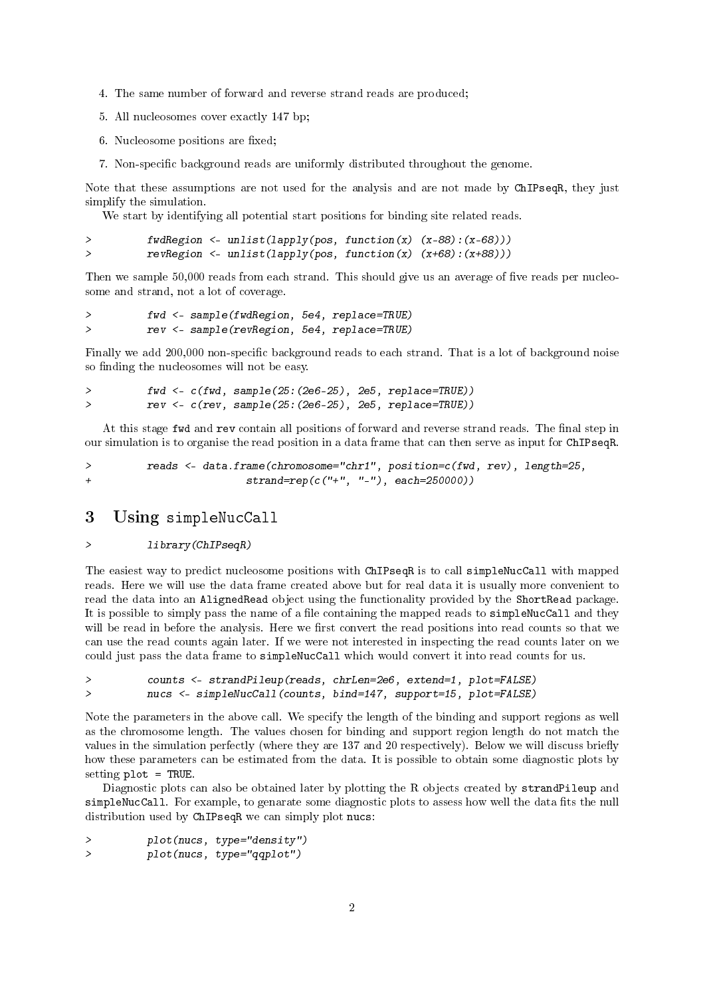- 4. The same number of forward and reverse strand reads are produced;
- 5. All nucleosomes cover exactly 147 bp;
- 6. Nucleosome positions are fixed:
- 7. Non-specific background reads are uniformly distributed throughout the genome.

Note that these assumptions are not used for the analysis and are not made by ChIPseqR, they just simplify the simulation.

We start by identifying all potential start positions for binding site related reads.

```
> fwdRegion <- unlist(lapply(pos, function(x) (x-88):(x-68)))
> revRegion <- unlist(lapply(pos, function(x) (x+68):(x+88)))
```
Then we sample 50,000 reads from each strand. This should give us an average of five reads per nucleosome and strand, not a lot of coverage.

```
> fwd <- sample(fwdRegion, 5e4, replace=TRUE)
> rev <- sample(revRegion, 5e4, replace=TRUE)
```
Finally we add 200,000 non-specific background reads to each strand. That is a lot of background noise so finding the nucleosomes will not be easy.

```
> fwd <- c(fwd, sample(25:(2e6-25), 2e5, replace=TRUE))
> rev <- c(rev, sample(25:(2e6-25), 2e5, replace=TRUE))
```
At this stage fwd and rev contain all positions of forward and reverse strand reads. The final step in our simulation is to organise the read position in a data frame that can then serve as input for ChIPseqR.

```
> reads <- data.frame(chromosome="chr1", position=c(fwd, rev), length=25,
+ strand=rep(c("+", "-"), each=250000))
```
# 3 Using simpleNucCall

#### > library(ChIPseqR)

The easiest way to predict nucleosome positions with ChIPseqR is to call simpleNucCall with mapped reads. Here we will use the data frame created above but for real data it is usually more convenient to read the data into an AlignedRead object using the functionality provided by the ShortRead package. It is possible to simply pass the name of a file containing the mapped reads to simpleNucCall and they will be read in before the analysis. Here we first convert the read positions into read counts so that we can use the read counts again later. If we were not interested in inspecting the read counts later on we could just pass the data frame to simpleNucCall which would convert it into read counts for us.

```
> counts <- strandPileup(reads, chrLen=2e6, extend=1, plot=FALSE)
> nucs <- simpleNucCall(counts, bind=147, support=15, plot=FALSE)
```
Note the parameters in the above call. We specify the length of the binding and support regions as well as the chromosome length. The values chosen for binding and support region length do not match the values in the simulation perfectly (where they are 137 and 20 respectively). Below we will discuss briefly how these parameters can be estimated from the data. It is possible to obtain some diagnostic plots by setting plot = TRUE.

Diagnostic plots can also be obtained later by plotting the R objects created by strandPileup and simpleNucCall. For example, to genarate some diagnostic plots to assess how well the data fits the null distribution used by ChIPseqR we can simply plot nucs:

> plot(nucs, type="density") > plot(nucs, type="qqplot")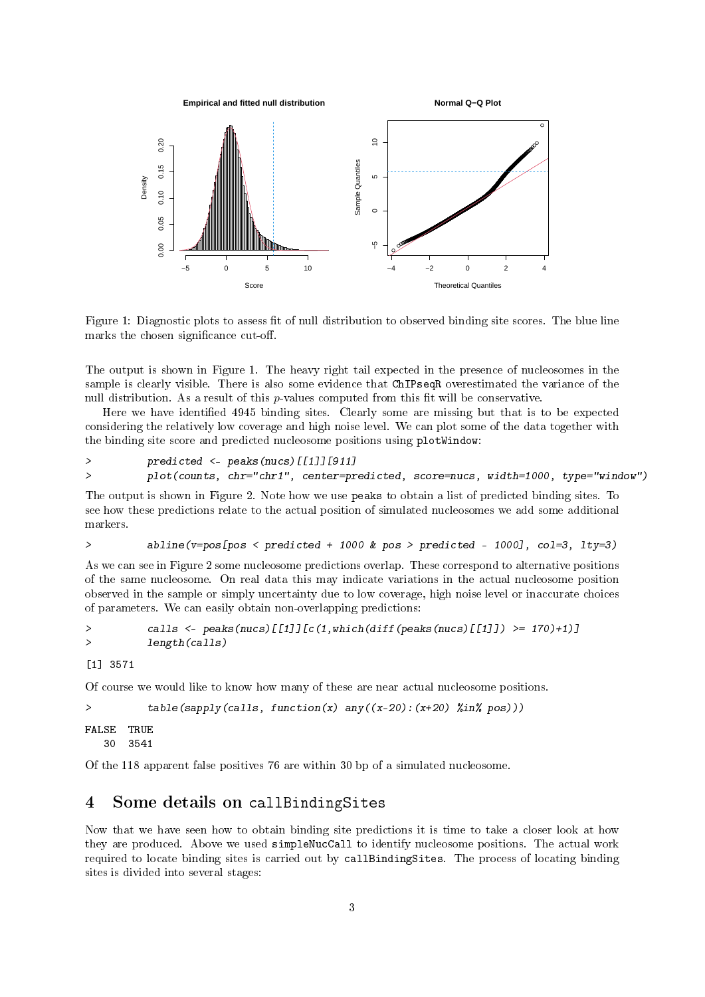

Figure 1: Diagnostic plots to assess fit of null distribution to observed binding site scores. The blue line marks the chosen significance cut-off.

The output is shown in Figure 1. The heavy right tail expected in the presence of nucleosomes in the sample is clearly visible. There is also some evidence that ChIPseqR overestimated the variance of the null distribution. As a result of this  $p$ -values computed from this fit will be conservative.

Here we have identified 4945 binding sites. Clearly some are missing but that is to be expected considering the relatively low coverage and high noise level. We can plot some of the data together with the binding site score and predicted nucleosome positions using plotWindow:

```
> predicted <- peaks(nucs)[[1]][911]
> plot(counts, chr="chr1", center=predicted, score=nucs, width=1000, type="window")
```
The output is shown in Figure 2. Note how we use peaks to obtain a list of predicted binding sites. To see how these predictions relate to the actual position of simulated nucleosomes we add some additional markers.

```
> abline(v=pos[pos < predicted + 1000 & pos > predicted - 1000], col=3, lty=3)
```
As we can see in Figure 2 some nucleosome predictions overlap. These correspond to alternative positions of the same nucleosome. On real data this may indicate variations in the actual nucleosome position observed in the sample or simply uncertainty due to low coverage, high noise level or inaccurate choices of parameters. We can easily obtain non-overlapping predictions:

```
> calls <- peaks(nucs)[[1]][c(1,which(diff(peaks(nucs)[[1]]) >= 170)+1)]
> length(calls)
```
[1] 3571

Of course we would like to know how many of these are near actual nucleosome positions.

```
> table(sapply(calls, function(x) any((x-20):(x+20) %in% pos)))
FALSE TRUE
  30 3541
```
Of the 118 apparent false positives 76 are within 30 bp of a simulated nucleosome.

# 4 Some details on callBindingSites

Now that we have seen how to obtain binding site predictions it is time to take a closer look at how they are produced. Above we used simpleNucCall to identify nucleosome positions. The actual work required to locate binding sites is carried out by callBindingSites. The process of locating binding sites is divided into several stages: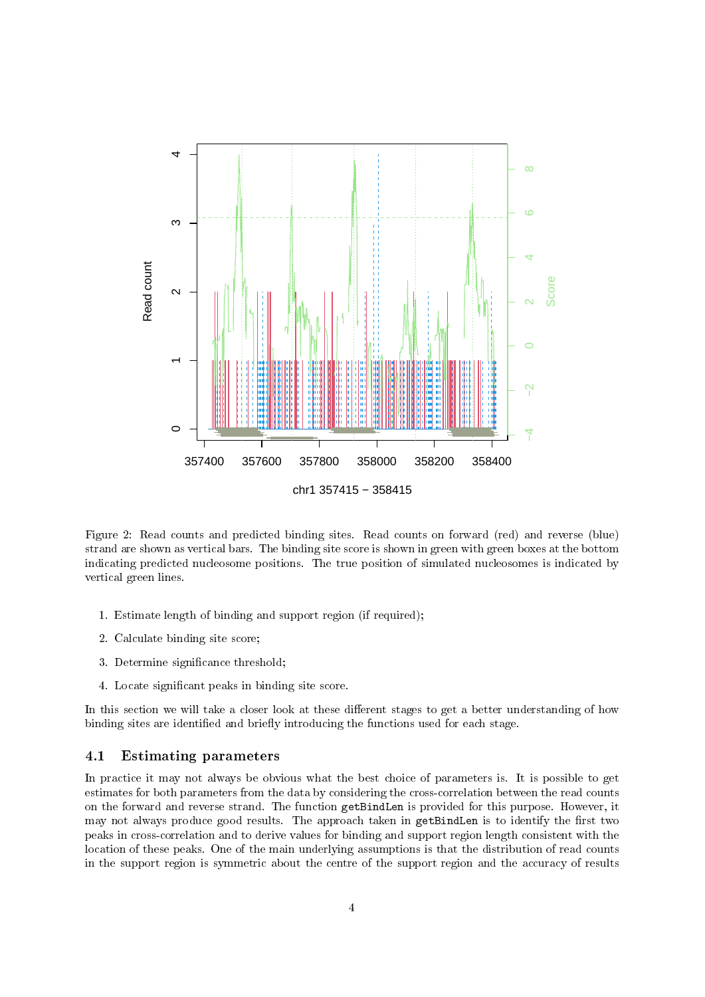

Figure 2: Read counts and predicted binding sites. Read counts on forward (red) and reverse (blue) strand are shown as vertical bars. The binding site score is shown in green with green boxes at the bottom indicating predicted nucleosome positions. The true position of simulated nucleosomes is indicated by vertical green lines.

- 1. Estimate length of binding and support region (if required);
- 2. Calculate binding site score;
- 3. Determine significance threshold;
- 4. Locate signicant peaks in binding site score.

In this section we will take a closer look at these different stages to get a better understanding of how binding sites are identified and briefly introducing the functions used for each stage.

#### 4.1 Estimating parameters

In practice it may not always be obvious what the best choice of parameters is. It is possible to get estimates for both parameters from the data by considering the cross-correlation between the read counts on the forward and reverse strand. The function getBindLen is provided for this purpose. However, it may not always produce good results. The approach taken in getBindLen is to identify the first two peaks in cross-correlation and to derive values for binding and support region length consistent with the location of these peaks. One of the main underlying assumptions is that the distribution of read counts in the support region is symmetric about the centre of the support region and the accuracy of results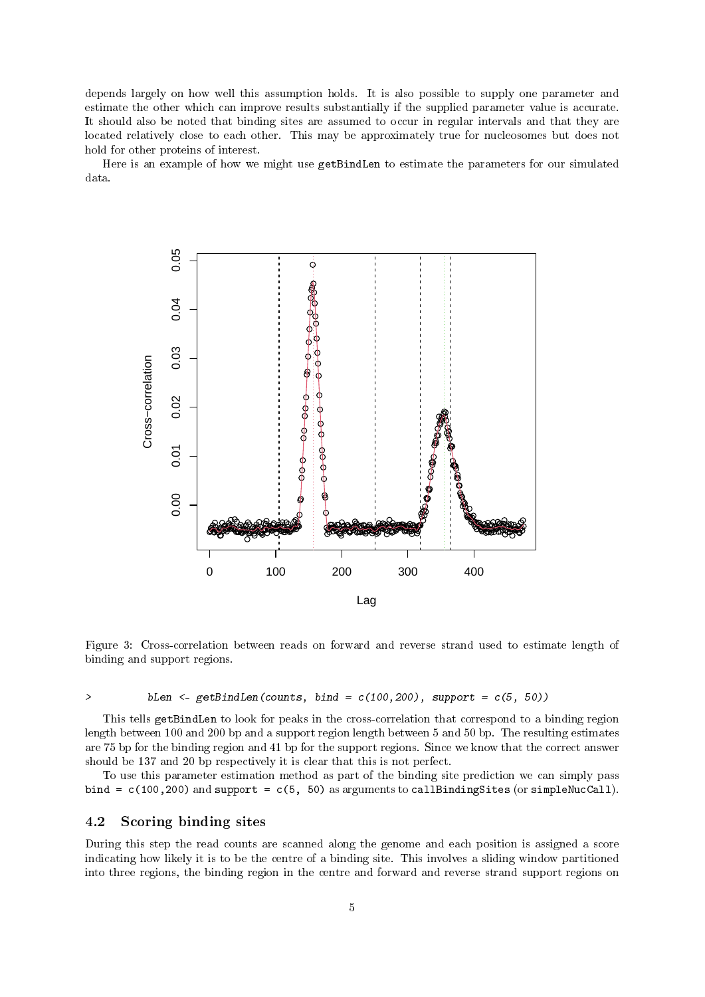depends largely on how well this assumption holds. It is also possible to supply one parameter and estimate the other which can improve results substantially if the supplied parameter value is accurate. It should also be noted that binding sites are assumed to occur in regular intervals and that they are located relatively close to each other. This may be approximately true for nucleosomes but does not hold for other proteins of interest.

Here is an example of how we might use getBindLen to estimate the parameters for our simulated data.



Figure 3: Cross-correlation between reads on forward and reverse strand used to estimate length of binding and support regions.

#### > bLen  $\langle -$  getBindLen(counts, bind =  $c(100, 200)$ , support =  $c(5, 50)$ )

This tells getBindLen to look for peaks in the cross-correlation that correspond to a binding region length between 100 and 200 bp and a support region length between 5 and 50 bp. The resulting estimates are 75 bp for the binding region and 41 bp for the support regions. Since we know that the correct answer should be 137 and 20 bp respectively it is clear that this is not perfect.

To use this parameter estimation method as part of the binding site prediction we can simply pass bind =  $c(100,200)$  and support =  $c(5, 50)$  as arguments to callBindingSites (or simpleNucCall).

### 4.2 Scoring binding sites

During this step the read counts are scanned along the genome and each position is assigned a score indicating how likely it is to be the centre of a binding site. This involves a sliding window partitioned into three regions, the binding region in the centre and forward and reverse strand support regions on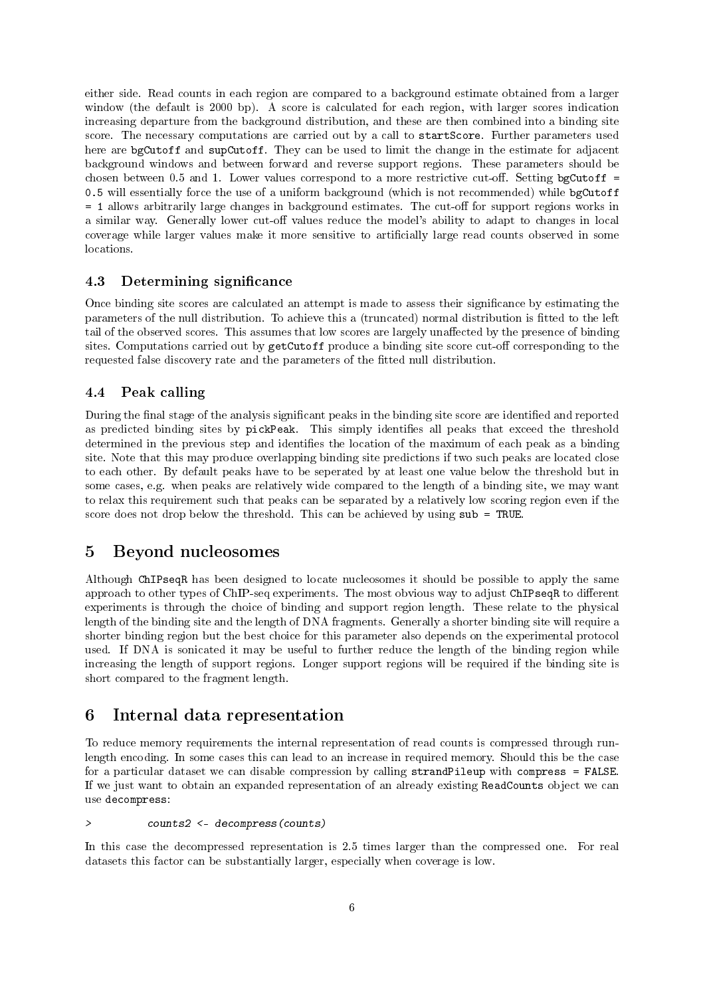either side. Read counts in each region are compared to a background estimate obtained from a larger window (the default is 2000 bp). A score is calculated for each region, with larger scores indication increasing departure from the background distribution, and these are then combined into a binding site score. The necessary computations are carried out by a call to startScore. Further parameters used here are bgCutoff and supCutoff. They can be used to limit the change in the estimate for adjacent background windows and between forward and reverse support regions. These parameters should be chosen between 0.5 and 1. Lower values correspond to a more restrictive cut-off. Setting bgCutoff  $=$ 0.5 will essentially force the use of a uniform background (which is not recommended) while bgCutoff = 1 allows arbitrarily large changes in background estimates. The cut-off for support regions works in a similar way. Generally lower cut-off values reduce the model's ability to adapt to changes in local coverage while larger values make it more sensitive to articially large read counts observed in some locations.

#### 4.3 Determining significance

Once binding site scores are calculated an attempt is made to assess their signicance by estimating the parameters of the null distribution. To achieve this a (truncated) normal distribution is tted to the left tail of the observed scores. This assumes that low scores are largely unaffected by the presence of binding sites. Computations carried out by getCutoff produce a binding site score cut-off corresponding to the requested false discovery rate and the parameters of the fitted null distribution.

### 4.4 Peak calling

During the final stage of the analysis significant peaks in the binding site score are identified and reported as predicted binding sites by pickPeak. This simply identifies all peaks that exceed the threshold determined in the previous step and identifies the location of the maximum of each peak as a binding site. Note that this may produce overlapping binding site predictions if two such peaks are located close to each other. By default peaks have to be seperated by at least one value below the threshold but in some cases, e.g. when peaks are relatively wide compared to the length of a binding site, we may want to relax this requirement such that peaks can be separated by a relatively low scoring region even if the score does not drop below the threshold. This can be achieved by using sub = TRUE.

## 5 Beyond nucleosomes

Although ChIPseqR has been designed to locate nucleosomes it should be possible to apply the same approach to other types of ChIP-seq experiments. The most obvious way to adjust ChIPseqR to different experiments is through the choice of binding and support region length. These relate to the physical length of the binding site and the length of DNA fragments. Generally a shorter binding site will require a shorter binding region but the best choice for this parameter also depends on the experimental protocol used. If DNA is sonicated it may be useful to further reduce the length of the binding region while increasing the length of support regions. Longer support regions will be required if the binding site is short compared to the fragment length.

## 6 Internal data representation

To reduce memory requirements the internal representation of read counts is compressed through runlength encoding. In some cases this can lead to an increase in required memory. Should this be the case for a particular dataset we can disable compression by calling strandPileup with compress = FALSE. If we just want to obtain an expanded representation of an already existing ReadCounts object we can use decompress:

#### > counts2 <- decompress(counts)

In this case the decompressed representation is 2.5 times larger than the compressed one. For real datasets this factor can be substantially larger, especially when coverage is low.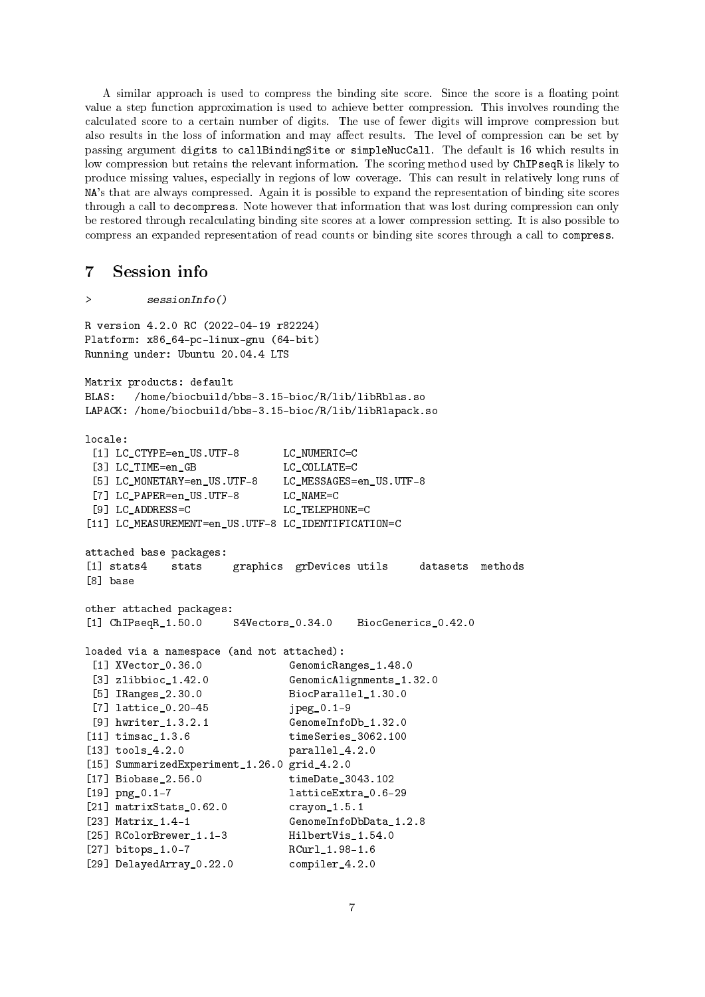A similar approach is used to compress the binding site score. Since the score is a floating point value a step function approximation is used to achieve better compression. This involves rounding the calculated score to a certain number of digits. The use of fewer digits will improve compression but also results in the loss of information and may affect results. The level of compression can be set by passing argument digits to callBindingSite or simpleNucCall. The default is 16 which results in low compression but retains the relevant information. The scoring method used by ChIPseqR is likely to produce missing values, especially in regions of low coverage. This can result in relatively long runs of NA's that are always compressed. Again it is possible to expand the representation of binding site scores through a call to decompress. Note however that information that was lost during compression can only be restored through recalculating binding site scores at a lower compression setting. It is also possible to compress an expanded representation of read counts or binding site scores through a call to compress.

## 7 Session info

```
> sessionInfo()
R version 4.2.0 RC (2022-04-19 r82224)
Platform: x86_64-pc-linux-gnu (64-bit)
Running under: Ubuntu 20.04.4 LTS
Matrix products: default
BLAS: /home/biocbuild/bbs-3.15-bioc/R/lib/libRblas.so
LAPACK: /home/biocbuild/bbs-3.15-bioc/R/lib/libRlapack.so
locale:
 [1] LC_CTYPE=en_US.UTF-8 LC_NUMERIC=C
 [3] LC_TIME=en_GB LC_COLLATE=C
 [5] LC_MONETARY=en_US.UTF-8 LC_MESSAGES=en_US.UTF-8
 [7] LC_PAPER=en_US.UTF-8 LC_NAME=C
 [9] LC_ADDRESS=C LC_TELEPHONE=C
[11] LC_MEASUREMENT=en_US.UTF-8 LC_IDENTIFICATION=C
attached base packages:
[1] stats4 stats graphics grDevices utils datasets methods
[8] base
other attached packages:
[1] ChIPseqR_1.50.0 S4Vectors_0.34.0 BiocGenerics_0.42.0
loaded via a namespace (and not attached):
 [1] XVector_0.36.0 GenomicRanges_1.48.0
 [3] zlibbioc_1.42.0 GenomicAlignments_1.32.0
 [5] IRanges_2.30.0 BiocParallel_1.30.0
 [7] lattice_0.20-45 jpeg_0.1-9
 [9] hwriter_1.3.2.1 GenomeInfoDb_1.32.0
[11] timsac_1.3.6 timeSeries_3062.100
[13] tools_4.2.0 parallel_4.2.0
[15] SummarizedExperiment_1.26.0 grid_4.2.0
[17] Biobase_2.56.0 timeDate_3043.102
[19] png_0.1-7 latticeExtra_0.6-29
[21] matrixStats_0.62.0 crayon_1.5.1
[23] Matrix_1.4-1 GenomeInfoDbData_1.2.8
[25] RColorBrewer_1.1-3 HilbertVis_1.54.0
[27] bitops_1.0-7 RCurl_1.98-1.6
[29] DelayedArray_0.22.0 compiler_4.2.0
```